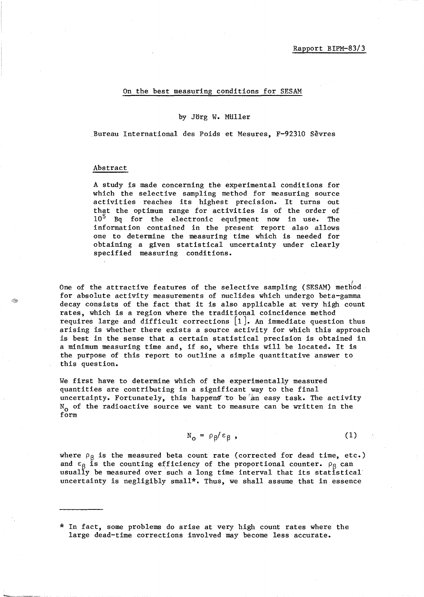## On the best measuring conditions for SESAM

## by Jorg W. MUller

Bureau International des Poids et Mesures, F-92310 Sevres

## Abstract

A study is made concerning the experimental conditions for which the selective sampling method for measuring source activities reaches its highest precision. It turns out that the optimum range for activities is of the order of 10<sup>5</sup> Bq for the electronic equipment now in use. The information contained in the present report also allows one to determine the measuring time which is needed for obtaining a given statistical uncertainty under clearly specified measuring conditions.

One of the attractive features of the selective sampling (SESAM) method for absolute activity measurements of nuclides which undergo beta-gamma decay consists of the fact that it is also applicable at very high count rates, which is a region where the traditional coincidence method requires large and difficult corrections  $[1]$ . An immediate question thus arising is whether there exists a source activity for which this approach is best in the sense that a certain statistical precision is obtained in a minimum measuring time and, if so, where this will be located. It is the purpose of this report to outline a simple quantitative answer to this question.

We first have to determine which of the experimentally measured quantities are contributing in a significant way to the final uncertainty. Fortunately, this happens to be an easy task. The activity  $N_{o}$  of the radioactive source we want to measure can be written in the form

$$
N_o = \rho g / \epsilon g \tag{1}
$$

where  $\rho_{\beta}$  is the measured beta count rate (corrected for dead time, etc.) and  $\varepsilon_{\beta}$  is the counting efficiency of the proportional counter.  $\rho_{\beta}$  can usually be measured over such a long time interval that its statistical uncertainty is negligibly small\*. Thus, we shall assume that in essence

<sup>\*</sup> In fact, some problems do arise at very high count rates where the large dead-time corrections involved may become less accurate.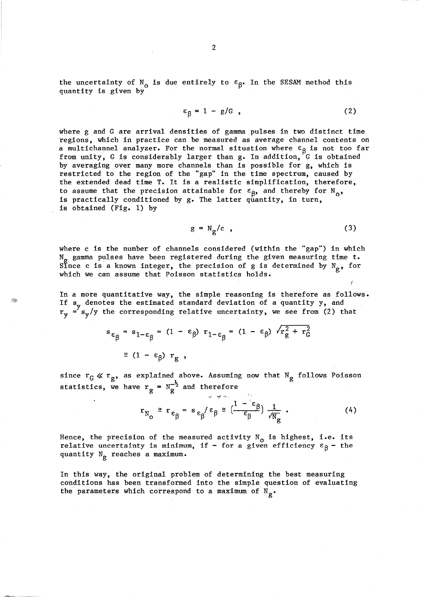the uncertainty of  $N_{o}$  is due entirely to  $\varepsilon_{\beta}$ . In the SESAM method this quantity is given by

$$
\varepsilon_{\beta} = 1 - g/G \tag{2}
$$

where g and G are arrival densities of gamma pulses in two distinct time regions, which in practice can be measured as average channel contents on a multichannel analyzer. For the normal situation where  $\epsilon_{\beta}$  is not too far from unity, G is considerably larger than g. In addition, G is obtained by averaging over many more channels than is possible for g, which is restricted to the region of the "gap" in the time spectrum, caused by the extended dead time T. It is a realistic simplification, therefore, to assume that the precision attainable for  $\varepsilon_{\beta}$ , and thereby for N<sub>o</sub>, is practically conditioned by g. The latter quantity, in turn, is obtained (Fig. 1) by

$$
g = N_p/c \t{3}
$$

where c is the number of channels considered (within the "gap") in which N<sub>g</sub> gamma pulses have been registered during the given measuring time t. Since c is a known integer, the precision of g is determined by  $N_{\sigma}$ , for which we can assume that Poisson statistics holds.

In a more quantitative way, the simple reasoning is therefore as follows. If  $s_y$  denotes the estimated standard deviation of a quantity y, and  $r_y = s_y/y$  the corresponding relative uncertainty, we see from (2) that

$$
s_{\varepsilon_{\beta}} = s_{1-\varepsilon_{\beta}} = (1 - \varepsilon_{\beta}) r_{1-\varepsilon_{\beta}} = (1 - \varepsilon_{\beta}) \sqrt{r_{g}^{2} + r_{G}^{2}}
$$

$$
\approx (1 - \varepsilon_{\beta}) r_{g},
$$

since  $r_G \ll r_g$ , as explained above. Assuming now that N<sub>g</sub> follows Poisson statistics, we have  $r_g = N_g^{-\frac{1}{2}}$  and therefore

$$
r_{N_{\mathcal{O}}} \cong r_{\epsilon_{\beta}} = s_{\epsilon_{\beta}}/\epsilon_{\beta} \cong \left(\frac{1 - \epsilon_{\beta}}{\epsilon_{\beta}}\right) \frac{1}{\sqrt{N_{g}}} \tag{4}
$$

-I;

Hence, the precision of the measured activity  $N_{o}$  is highest, i.e. its relative uncertainty is minimum, if - for a given efficiency  $\varepsilon_{\beta}$  - the quantity  $N_g$  reaches a maximum.

In this way, the original problem of determining the best measuring conditions has been transformed into the simple question of evaluating the parameters which correspond to a maximum of  $N_{\alpha}$ .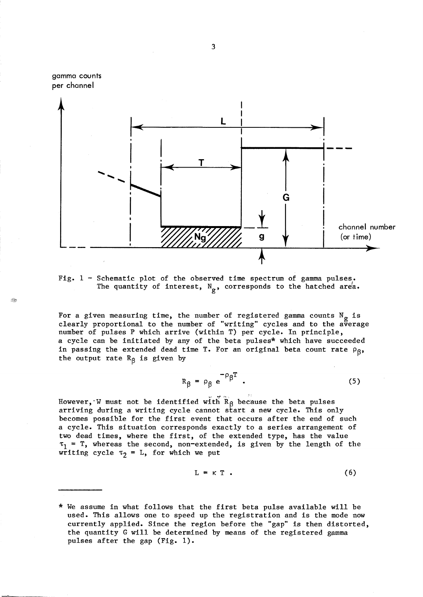

Fig. 1 - Schematic plot of the observed time spectrum of gamma pulses. The quantity of interest,  $N_g$ , corresponds to the hatched area.

 $\mathcal{B}_\mathcal{R}$ 

For a given measuring time, the number of registered gamma counts  $N_g$  is clearly proportional to the number of "writing" cycles and to the average number of pulses P which arrive (within T) per cycle. In principle, a cycle can be initiated by any of the beta pulses\* which have succeeded in passing the extended dead time T. For an original beta count rate  $\rho_{\beta}$ , the output rate  $R_g$  is given by

$$
R_{\beta} = \rho_{\beta} e^{-\rho_{\beta} T} \tag{5}
$$

However, W must not be identified with  $R_{\beta}$  because the beta pulses arriving during a writing cycle cannot start a new cycle. This only becomes possible for the first event that occurs after the end of such a cycle. This situation corresponds exactly to a series arrangement of two dead times, where the first, of the extended type, has the value  $\tau_1$  = T, whereas the second, non-extended, is given by the length of the writing cycle  $\tau_2 = L$ , for which we put

$$
L = \kappa T . \t\t(6)
$$

<sup>\*</sup> We assume in what follows that the first beta pulse available will be used. This allows one to speed up the registration and is the mode now currently applied. Since the region before the "gap" is then distorted, the quantity G will be determined by means of the registered gamma pulses after the gap (Fig. 1).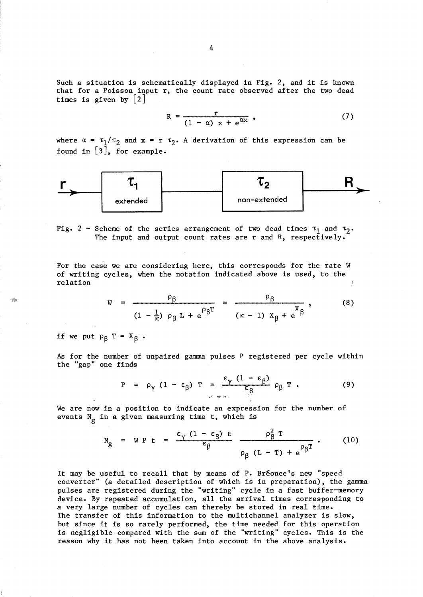Such a situation is schematically displayed in Fig. 2, and it is known that for a Poisson input r, the count rate observed after the two dead times is given by  $\lceil 2 \rceil$ 

$$
R = \frac{r}{(1 - \alpha) x + e^{\alpha x}}, \qquad (7)
$$

where  $\alpha = \tau_1/\tau_2$  and  $x = r \tau_2$ . A derivation of this expression can be found in  $[3]$ , for example.



Fig. 2 - Scheme of the series arrangement of two dead times  $\tau_1$  and  $\tau_2$ . The input and output count rates are r and R, respectively.

For the case we are considering here, this corresponds for the rate W of writing cycles, when the notation indicated above is used, to the relation

$$
W = \frac{\rho_{\beta}}{(1 - \frac{1}{\kappa}) \rho_{\beta} L + e^{\rho_{\beta} T}} = \frac{\rho_{\beta}}{(\kappa - 1) X_{\beta} + e^{\alpha} \beta},
$$
 (8)

if we put  $\rho_{\beta}$  T =  $X_{\beta}$ .

 $\mathcal{P}_{\mathcal{R}}$ 

As for the number of unpaired gamma pulses P registered per cycle within the "gap" one finds

$$
P = \rho_{\gamma} (1 - \epsilon_{\beta}) T = \frac{\epsilon_{\gamma} (1 - \epsilon_{\beta})}{\epsilon_{\beta}} \rho_{\beta} T . \qquad (9)
$$

We are now in a position to indicate an expression for the number of events  $N_g$  in a given measuring time t, which is

$$
N_g = W P t = \frac{\epsilon_{\gamma} (1 - \epsilon_{\beta}) t}{\epsilon_{\beta}} \frac{\rho_{\beta}^2 T}{\rho_{\beta} (L - T) + e^{\rho_{\beta}^2}}.
$$
 (10)

It may be useful to recall that by means of P. Breonce's new "speed converter" (a detailed description of which is in preparation), the gamma pulses are registered during the "writing" cycle in a fast buffer-memory device. By repeated accumulation, all the arrival times corresponding to a very large number of cycles can thereby be stored in real time. The transfer of this information to the multichannel analyzer is slow, but since it is so rarely performed, the time needed for this operation is negligible compared with the sum of the "writing" cycles. This is the reason why it has not been taken into account in the above analysis.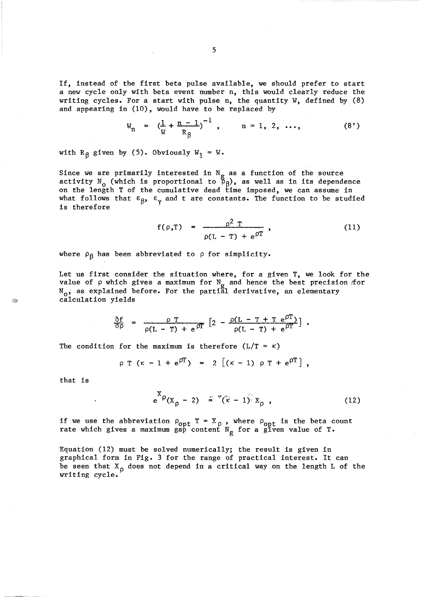If, instead of the first beta pulse available, we should prefer to start a new cycle only with beta event number n, this would clearly reduce the writing cycles. For a start with pulse n, the quantity W, defined by (8) and appearing in (10), would have to be replaced by

$$
W_n = \left(\frac{1}{W} + \frac{n-1}{R_g}\right)^{-1}, \qquad n = 1, 2, ..., \qquad (8')
$$

with R<sub> $\beta$ </sub> given by (5). Obviously W<sub>1</sub> = W.

Since we are primarily interested in  $\aleph_{\alpha}$  as a function of the source activity N<sub>o</sub> (which is proportional to  $\frac{g}{\beta\beta}$ ), as well as in its dependence on the length T of the cumulative dead time imposed, we can assume in what follows that  $\varepsilon_{\beta}$ ,  $\varepsilon_{\gamma}$  and t are constants. The function to be studied is therefore

$$
f(\rho, T) = \frac{\rho^2 T}{\rho(L - T) + e^{\rho T}},
$$
 (11)

where  $\rho_{\beta}$  has been abbreviated to  $\rho$  for simplicity.

Let us first consider the situation where, for a given T, we look for the value of  $\rho$  which gives a maximum for  $N_g$  and hence the best precision for  $\texttt{N}_{\textbf{o}}$ , as explained before. For the partial derivative, an elementary calculation yields

$$
\frac{\partial f}{\partial \rho} = \frac{\rho T}{\rho(L - T) + e^{\rho T}} \left[ 2 - \frac{\rho(L - T + T e^{\rho T})}{\rho(L - T) + e^{\rho T}} \right].
$$

The condition for the maximum is therefore  $(L/T = \kappa)$ 

$$
\rho T (k - 1 + e^{0T}) = 2 [(k - 1) \rho T + e^{0T}],
$$

that is

$$
e^{X\rho}(x_{\rho}-2) = \sqrt[n]{(\kappa-1)}x_{\rho} \qquad (12)
$$

if we use the abbreviation  $\rho_{\text{opt}}$  T =  $X_{\rho}$ , where  $\rho_{\text{opt}}$  is the beta count rate which gives a maximum gap content  $N_g$  for a given value of T.

Equation (12) must be solved numerically; the result is given in graphical form in Fig. 3 for the range of practical interest. It can be seen that  $X_{p}$  does not depend in a critical way on the length L of the writing cycle.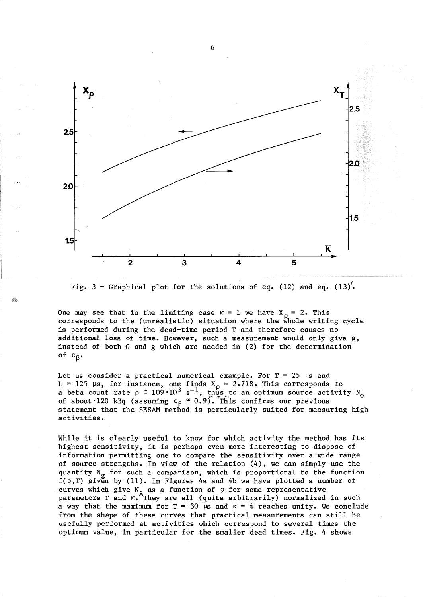

Fig. 3 - Graphical plot for the solutions of eq. (12) and eq. (13).

Ž.

One may see that in the limiting case  $K = 1$  we have  $X_p = 2$ . This corresponds to the (unrealistic) situation where the whole writing cycle is performed during the dead-time period T and therefore causes no additional loss of time. However, such a measurement would only give g, instead of both G and g which are needed in (2) for the determination of  $\varepsilon_{\beta}$ .

Let us consider a practical numerical example. For  $T = 25$  µs and L = 125  $\mu$ s, for instance, one finds X<sub>0</sub> = 2.718. This corresponds to a beta count rate  $\rho \approx 109 \cdot 10^3 \text{ s}^{-1}$ , thus to an optimum source activity N<sub>o</sub> of about 120 kBq (assuming  $\varepsilon_{\beta} \equiv 0.9$ ). This confirms our previous statement that the SESAM method is particularly suited for measuring high activities.

While it is clearly useful to know for which activity the method has its highest sensitivity, it is perhaps even more interesting to dispose of information permitting one to compare the sensitivity over a wide range of source strengths. In view of the relation (4), we can simply use the quantity  $N_g$  for such a comparison, which is proportional to the function  $f(\rho,T)$  given by (11). In Figures 4a and 4b we have plotted a number of curves which give  $N_g$  as a function of  $\rho$  for some representative parameters T and K. They are all (quite arbitrarily) normalized in such a way that the maximum for  $T = 30$  µs and  $K = 4$  reaches unity. We conclude from the shape of these curves that practical measurements can still be usefully performed at activities which correspond to several times the optimum value, in particular for the smaller dead times. Fig. 4 shows

6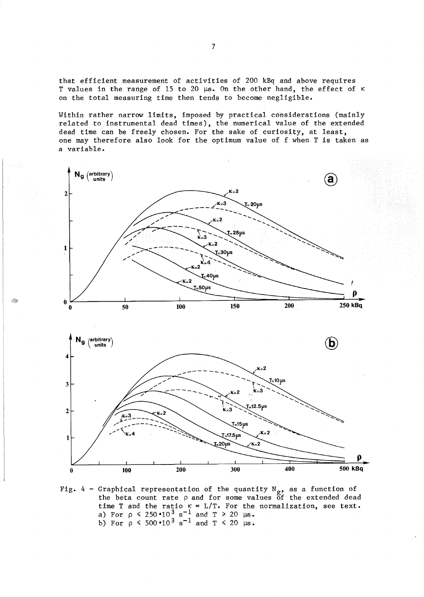that efficient measurement of activities of 200 kBq and above requires T values in the range of 15 to 20  $\mu s$ . On the other hand, the effect of  $\kappa$ on the total measuring time then tends to become negligible.

Within rather narrow limits, imposed by practical considerations (mainly related to instrumental dead times), the numerical value of the extended dead time can be freely chosen. For the sake of curiosity, at least, one may therefore also look for the optimum value of f when T is taken as a variable.



Î.



Fig. 4 - Graphical representation of the quantity  $N_{g}$ , as a function of the beta count rate  $\rho$  and for some values of the extended dead time T and the ratio  $K = L/T$ . For the normalization, see text. a) For  $\rho \le 250 \cdot 10^3 \text{ s}^{-1}$  and  $T \ge 20 \text{ }\mu\text{s}$ . b) For  $p \le 500 \cdot 10^3 \text{ s}^{-1}$  and  $T \le 20 \text{ }\mu\text{s}$ .

7